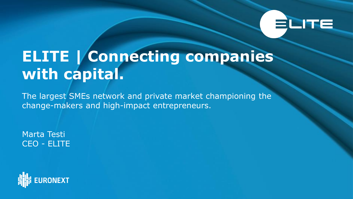# ELITE

# **ELITE | Connecting companies with capital.**

The largest SMEs network and private market championing the change-makers and high-impact entrepreneurs.

Marta Testi CEO - ELITE

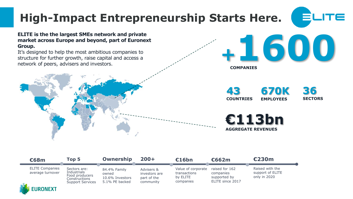# **High-Impact Entrepreneurship Starts Here.**



#### **ELITE is the the largest SMEs network and private market across Europe and beyond, part of Euronext Group.**

It's designed to help the most ambitious companies to structure for further growth, raise capital and access a network of peers, advisers and investors.



**43 COUNTRIES 670K EMPLOYEES**

**36 SECTORS**

**<sup>+</sup>1600**

**€113bn AGGREGATE REVENUES**

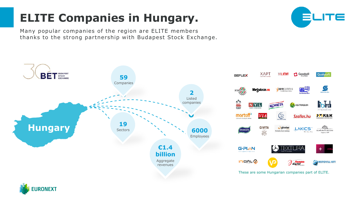## **ELITE Companies in Hungary.**

Many popular companies of the region are ELITE members thanks to the strong partnership with Budapest Stock Exchange.



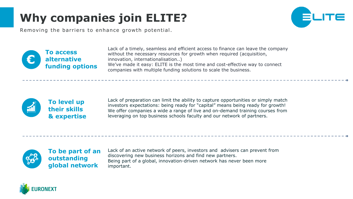# **Why companies join ELITE?**



Removing the barriers to enhance growth potential.



Lack of a timely, seamless and efficient access to finance can leave the company without the necessary resources for growth when required (acquisition, innovation, internationalisation..) We've made it easy: ELITE is the most time and cost-effective way to connect companies with multiple funding solutions to scale the business.



Lack of preparation can limit the ability to capture opportunities or simply match investors expectations: being ready for "capital" means being ready for growth! We offer companies a wide a range of live and on-demand training courses from leveraging on top business schools faculty and our network of partners.



**To be part of an outstanding global network**

Lack of an active network of peers, investors and advisers can prevent from discovering new business horizons and find new partners. Being part of a global, innovation-driven network has never been more important.

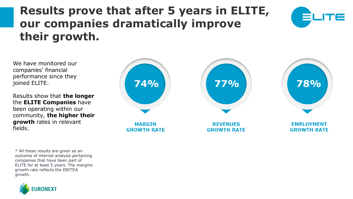### **Results prove that after 5 years in ELITE, our companies dramatically improve their growth.**



We have monitored our companies' financial performance since they joined ELITE.

Results show that **the longer**  the **ELITE Companies** have been operating within our community, **the higher their growth** rates in relevant fields.

\* All these results are given as an outcome of internal analysis pertaining companies that have been part of ELITE for at least 5 years. The margins growth rate reflects the EBITDA growth.



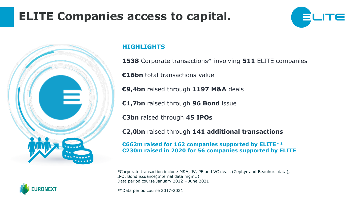### **ELITE Companies access to capital.**





**RONEXT** 

#### **HIGHLIGHTS**

**1538** Corporate transactions\* involving **511** ELITE companies

**€16bn** total transactions value

**€9,4bn** raised through **1197 M&A** deals

**€1,7bn** raised through **96 Bond** issue

**€3bn** raised through **45 IPOs**

**€2,0bn** raised through **141 additional transactions**

**€662m raised for 162 companies supported by ELITE\*\* €230m raised in 2020 for 56 companies supported by ELITE**

\*Corporate transaction include M&A, JV, PE and VC deals (Zephyr and Beauhurs data), IPO, Bond issuance(Internal data mgmt.) Data period course January 2012 – June 2021

\*\*Data period course 2017-2021